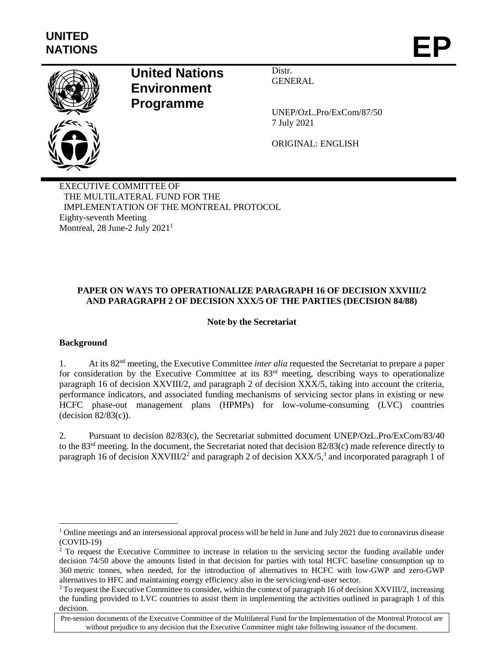

# **United Nations Environment Programme**

Distr. GENERAL

UNEP/OzL.Pro/ExCom/87/50 7 July 2021

ORIGINAL: ENGLISH

EXECUTIVE COMMITTEE OF THE MULTILATERAL FUND FOR THE IMPLEMENTATION OF THE MONTREAL PROTOCOL Eighty-seventh Meeting Montreal, 28 June-2 July 2021<sup>1</sup>

# **PAPER ON WAYS TO OPERATIONALIZE PARAGRAPH 16 OF DECISION XXVIII/2 AND PARAGRAPH 2 OF DECISION XXX/5 OF THE PARTIES (DECISION 84/88)**

# **Note by the Secretariat**

#### **Background**

 $\overline{\phantom{a}}$ 

1. At its 82nd meeting, the Executive Committee *inter alia* requested the Secretariat to prepare a paper for consideration by the Executive Committee at its 83<sup>rd</sup> meeting, describing ways to operationalize paragraph 16 of decision XXVIII/2, and paragraph 2 of decision XXX/5, taking into account the criteria, performance indicators, and associated funding mechanisms of servicing sector plans in existing or new HCFC phase-out management plans (HPMPs) for low-volume-consuming (LVC) countries (decision 82/83(c)).

2. Pursuant to decision 82/83(c), the Secretariat submitted document UNEP/OzL.Pro/ExCom/83/40 to the 83rd meeting. In the document, the Secretariat noted that decision 82/83(c) made reference directly to paragraph 16 of decision  $XXVIII/2<sup>2</sup>$  and paragraph 2 of decision  $XXX/5<sup>3</sup>$  and incorporated paragraph 1 of

 $1$  Online meetings and an intersessional approval process will be held in June and July 2021 due to coronavirus disease (COVID-19)

<sup>&</sup>lt;sup>2</sup> To request the Executive Committee to increase in relation to the servicing sector the funding available under decision 74/50 above the amounts listed in that decision for parties with total HCFC baseline consumption up to 360 metric tonnes, when needed, for the introduction of alternatives to HCFC with low-GWP and zero-GWP alternatives to HFC and maintaining energy efficiency also in the servicing/end-user sector.

<sup>&</sup>lt;sup>3</sup> To request the Executive Committee to consider, within the context of paragraph 16 of decision XXVIII/2, increasing the funding provided to LVC countries to assist them in implementing the activities outlined in paragraph 1 of this decision.

Pre-session documents of the Executive Committee of the Multilateral Fund for the Implementation of the Montreal Protocol are without prejudice to any decision that the Executive Committee might take following issuance of the document.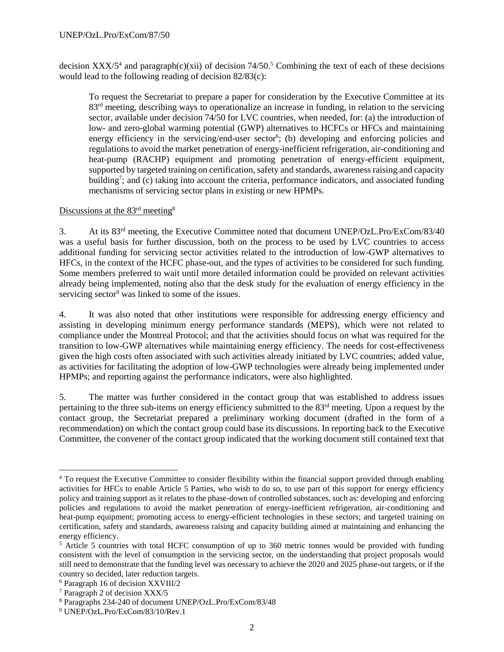decision  $XXX/5<sup>4</sup>$  and paragraph(c)(xii) of decision  $74/50<sup>5</sup>$  Combining the text of each of these decisions would lead to the following reading of decision 82/83(c):

To request the Secretariat to prepare a paper for consideration by the Executive Committee at its 83<sup>rd</sup> meeting, describing ways to operationalize an increase in funding, in relation to the servicing sector, available under decision 74/50 for LVC countries, when needed, for: (a) the introduction of low- and zero-global warming potential (GWP) alternatives to HCFCs or HFCs and maintaining energy efficiency in the servicing/end-user sector<sup>6</sup>; (b) developing and enforcing policies and regulations to avoid the market penetration of energy-inefficient refrigeration, air-conditioning and heat-pump (RACHP) equipment and promoting penetration of energy-efficient equipment, supported by targeted training on certification, safety and standards, awareness raising and capacity building<sup>7</sup>; and (c) taking into account the criteria, performance indicators, and associated funding mechanisms of servicing sector plans in existing or new HPMPs.

# Discussions at the 83<sup>rd</sup> meeting<sup>8</sup>

3. At its 83rd meeting, the Executive Committee noted that document UNEP/OzL.Pro/ExCom/83/40 was a useful basis for further discussion, both on the process to be used by LVC countries to access additional funding for servicing sector activities related to the introduction of low-GWP alternatives to HFCs, in the context of the HCFC phase-out, and the types of activities to be considered for such funding. Some members preferred to wait until more detailed information could be provided on relevant activities already being implemented, noting also that the desk study for the evaluation of energy efficiency in the servicing sector<sup>9</sup> was linked to some of the issues.

4. It was also noted that other institutions were responsible for addressing energy efficiency and assisting in developing minimum energy performance standards (MEPS), which were not related to compliance under the Montreal Protocol; and that the activities should focus on what was required for the transition to low-GWP alternatives while maintaining energy efficiency. The needs for cost-effectiveness given the high costs often associated with such activities already initiated by LVC countries; added value, as activities for facilitating the adoption of low-GWP technologies were already being implemented under HPMPs; and reporting against the performance indicators, were also highlighted.

5. The matter was further considered in the contact group that was established to address issues pertaining to the three sub-items on energy efficiency submitted to the 83<sup>rd</sup> meeting. Upon a request by the contact group, the Secretariat prepared a preliminary working document (drafted in the form of a recommendation) on which the contact group could base its discussions. In reporting back to the Executive Committee, the convener of the contact group indicated that the working document still contained text that

l

<sup>4</sup> To request the Executive Committee to consider flexibility within the financial support provided through enabling activities for HFCs to enable Article 5 Parties, who wish to do so, to use part of this support for energy efficiency policy and training support as it relates to the phase-down of controlled substances, such as: developing and enforcing policies and regulations to avoid the market penetration of energy-inefficient refrigeration, air-conditioning and heat-pump equipment; promoting access to energy-efficient technologies in these sectors; and targeted training on certification, safety and standards, awareness raising and capacity building aimed at maintaining and enhancing the energy efficiency.

<sup>&</sup>lt;sup>5</sup> Article 5 countries with total HCFC consumption of up to 360 metric tonnes would be provided with funding consistent with the level of consumption in the servicing sector, on the understanding that project proposals would still need to demonstrate that the funding level was necessary to achieve the 2020 and 2025 phase-out targets, or if the country so decided, later reduction targets.

<sup>6</sup> Paragraph 16 of decision XXVIII/2

<sup>7</sup> Paragraph 2 of decision XXX/5

<sup>8</sup> Paragraphs 234-240 of document UNEP/OzL.Pro/ExCom/83/48

<sup>9</sup> UNEP/OzL.Pro/ExCom/83/10/Rev.1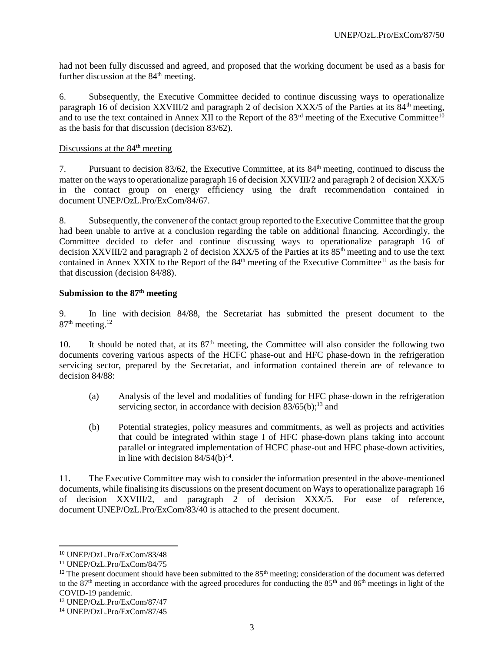had not been fully discussed and agreed, and proposed that the working document be used as a basis for further discussion at the  $84<sup>th</sup>$  meeting.

6. Subsequently, the Executive Committee decided to continue discussing ways to operationalize paragraph 16 of decision XXVIII/2 and paragraph 2 of decision XXX/5 of the Parties at its 84<sup>th</sup> meeting, and to use the text contained in Annex XII to the Report of the  $83<sup>rd</sup>$  meeting of the Executive Committee<sup>10</sup> as the basis for that discussion (decision 83/62).

#### Discussions at the  $84<sup>th</sup>$  meeting

7. Pursuant to decision 83/62, the Executive Committee, at its 84th meeting, continued to discuss the matter on the ways to operationalize paragraph 16 of decision XXVIII/2 and paragraph 2 of decision XXX/5 in the contact group on energy efficiency using the draft recommendation contained in document UNEP/OzL.Pro/ExCom/84/67.

8. Subsequently, the convener of the contact group reported to the Executive Committee that the group had been unable to arrive at a conclusion regarding the table on additional financing. Accordingly, the Committee decided to defer and continue discussing ways to operationalize paragraph 16 of decision XXVIII/2 and paragraph 2 of decision  $XXX/5$  of the Parties at its  $85<sup>th</sup>$  meeting and to use the text contained in Annex XXIX to the Report of the  $84<sup>th</sup>$  meeting of the Executive Committee<sup>11</sup> as the basis for that discussion (decision 84/88).

#### **Submission to the 87 th meeting**

9. In line with decision 84/88, the Secretariat has submitted the present document to the 87<sup>th</sup> meeting.<sup>12</sup>

10. It should be noted that, at its 87<sup>th</sup> meeting, the Committee will also consider the following two documents covering various aspects of the HCFC phase-out and HFC phase-down in the refrigeration servicing sector, prepared by the Secretariat, and information contained therein are of relevance to decision 84/88:

- (a) Analysis of the level and modalities of funding for HFC phase-down in the refrigeration servicing sector, in accordance with decision  $83/65(b)$ ;<sup>13</sup> and
- (b) Potential strategies, policy measures and commitments, as well as projects and activities that could be integrated within stage I of HFC phase-down plans taking into account parallel or integrated implementation of HCFC phase-out and HFC phase-down activities, in line with decision  $84/54(b)^{14}$ .

11. The Executive Committee may wish to consider the information presented in the above-mentioned documents, while finalising its discussions on the present document on Ways to operationalize paragraph 16 of decision XXVIII/2, and paragraph 2 of decision XXX/5. For ease of reference, document UNEP/OzL.Pro/ExCom/83/40 is attached to the present document.

<sup>10</sup> UNEP/OzL.Pro/ExCom/83/48

<sup>11</sup> UNEP/OzL.Pro/ExCom/84/75

 $12$  The present document should have been submitted to the  $85<sup>th</sup>$  meeting; consideration of the document was deferred to the  $87<sup>th</sup>$  meeting in accordance with the agreed procedures for conducting the  $85<sup>th</sup>$  and  $86<sup>th</sup>$  meetings in light of the COVID-19 pandemic.

<sup>13</sup> UNEP/OzL.Pro/ExCom/87/47

<sup>14</sup> UNEP/OzL.Pro/ExCom/87/45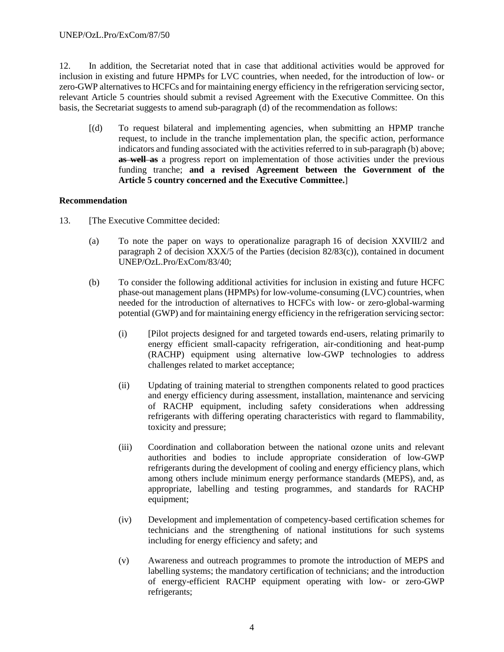12. In addition, the Secretariat noted that in case that additional activities would be approved for inclusion in existing and future HPMPs for LVC countries, when needed, for the introduction of low- or zero-GWP alternatives to HCFCs and for maintaining energy efficiency in the refrigeration servicing sector, relevant Article 5 countries should submit a revised Agreement with the Executive Committee. On this basis, the Secretariat suggests to amend sub-paragraph (d) of the recommendation as follows:

[(d) To request bilateral and implementing agencies, when submitting an HPMP tranche request, to include in the tranche implementation plan, the specific action, performance indicators and funding associated with the activities referred to in sub-paragraph (b) above; **as well as** a progress report on implementation of those activities under the previous funding tranche; **and a revised Agreement between the Government of the Article 5 country concerned and the Executive Committee.**]

#### **Recommendation**

- 13. [The Executive Committee decided:
	- (a) To note the paper on ways to operationalize paragraph 16 of decision XXVIII/2 and paragraph 2 of decision XXX/5 of the Parties (decision 82/83(c)), contained in document UNEP/OzL.Pro/ExCom/83/40;
	- (b) To consider the following additional activities for inclusion in existing and future HCFC phase-out management plans (HPMPs) for low-volume-consuming (LVC) countries, when needed for the introduction of alternatives to HCFCs with low- or zero-global-warming potential (GWP) and for maintaining energy efficiency in the refrigeration servicing sector:
		- (i) [Pilot projects designed for and targeted towards end-users, relating primarily to energy efficient small-capacity refrigeration, air-conditioning and heat-pump (RACHP) equipment using alternative low-GWP technologies to address challenges related to market acceptance;
		- (ii) Updating of training material to strengthen components related to good practices and energy efficiency during assessment, installation, maintenance and servicing of RACHP equipment, including safety considerations when addressing refrigerants with differing operating characteristics with regard to flammability, toxicity and pressure;
		- (iii) Coordination and collaboration between the national ozone units and relevant authorities and bodies to include appropriate consideration of low-GWP refrigerants during the development of cooling and energy efficiency plans, which among others include minimum energy performance standards (MEPS), and, as appropriate, labelling and testing programmes, and standards for RACHP equipment;
		- (iv) Development and implementation of competency-based certification schemes for technicians and the strengthening of national institutions for such systems including for energy efficiency and safety; and
		- (v) Awareness and outreach programmes to promote the introduction of MEPS and labelling systems; the mandatory certification of technicians; and the introduction of energy-efficient RACHP equipment operating with low- or zero-GWP refrigerants;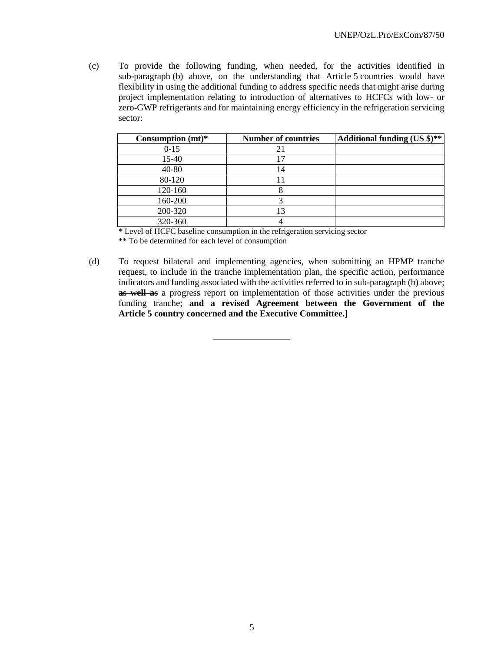(c) To provide the following funding, when needed, for the activities identified in sub-paragraph (b) above, on the understanding that Article 5 countries would have flexibility in using the additional funding to address specific needs that might arise during project implementation relating to introduction of alternatives to HCFCs with low- or zero-GWP refrigerants and for maintaining energy efficiency in the refrigeration servicing sector:

| Consumption $(mt)*$ | <b>Number of countries</b> | Additional funding (US \$)** |
|---------------------|----------------------------|------------------------------|
| $0-15$              | 21                         |                              |
| 15-40               |                            |                              |
| 40-80               | 14                         |                              |
| 80-120              |                            |                              |
| 120-160             |                            |                              |
| 160-200             |                            |                              |
| 200-320             |                            |                              |
| 320-360             |                            |                              |

\* Level of HCFC baseline consumption in the refrigeration servicing sector

\*\* To be determined for each level of consumption

(d) To request bilateral and implementing agencies, when submitting an HPMP tranche request, to include in the tranche implementation plan, the specific action, performance indicators and funding associated with the activities referred to in sub-paragraph (b) above; **as well as** a progress report on implementation of those activities under the previous funding tranche; **and a revised Agreement between the Government of the Article 5 country concerned and the Executive Committee.]**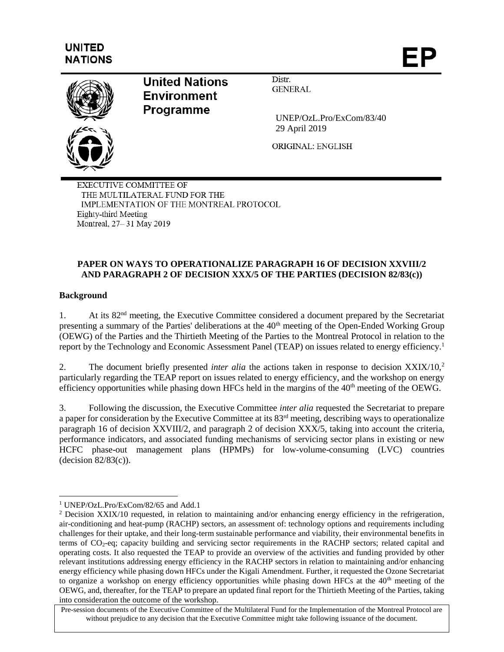# **UNITED NATIONS**



**United Nations Environment Programme** 

Distr. **GENERAL** 

 UNEP/OzL.Pro/ExCom/83/40 29 April 2019

ORIGINAL: ENGLISH

EXECUTIVE COMMITTEE OF THE MULTILATERAL FUND FOR THE IMPLEMENTATION OF THE MONTREAL PROTOCOL Eighty-third Meeting Montreal, 27-31 May 2019

# **PAPER ON WAYS TO OPERATIONALIZE PARAGRAPH 16 OF DECISION XXVIII/2 AND PARAGRAPH 2 OF DECISION XXX/5 OF THE PARTIES (DECISION 82/83(c))**

# **Background**

l

1. At its 82nd meeting, the Executive Committee considered a document prepared by the Secretariat presenting a summary of the Parties' deliberations at the 40<sup>th</sup> meeting of the Open-Ended Working Group (OEWG) of the Parties and the Thirtieth Meeting of the Parties to the Montreal Protocol in relation to the report by the Technology and Economic Assessment Panel (TEAP) on issues related to energy efficiency.<sup>1</sup>

2. The document briefly presented *inter alia* the actions taken in response to decision XXIX/10,<sup>2</sup> particularly regarding the TEAP report on issues related to energy efficiency, and the workshop on energy efficiency opportunities while phasing down HFCs held in the margins of the 40<sup>th</sup> meeting of the OEWG.

3. Following the discussion, the Executive Committee *inter alia* requested the Secretariat to prepare a paper for consideration by the Executive Committee at its 83<sup>rd</sup> meeting, describing ways to operationalize paragraph 16 of decision XXVIII/2, and paragraph 2 of decision XXX/5, taking into account the criteria, performance indicators, and associated funding mechanisms of servicing sector plans in existing or new HCFC phase-out management plans (HPMPs) for low-volume-consuming (LVC) countries  $-decision 82/83(c)$ ).

<sup>1</sup> UNEP/OzL.Pro/ExCom/82/65 and Add.1

<sup>&</sup>lt;sup>2</sup> Decision XXIX/10 requested, in relation to maintaining and/or enhancing energy efficiency in the refrigeration, air-conditioning and heat-pump (RACHP) sectors, an assessment of: technology options and requirements including challenges for their uptake, and their long-term sustainable performance and viability, their environmental benefits in terms of CO2-eq; capacity building and servicing sector requirements in the RACHP sectors; related capital and operating costs. It also requested the TEAP to provide an overview of the activities and funding provided by other relevant institutions addressing energy efficiency in the RACHP sectors in relation to maintaining and/or enhancing energy efficiency while phasing down HFCs under the Kigali Amendment. Further, it requested the Ozone Secretariat to organize a workshop on energy efficiency opportunities while phasing down HFCs at the  $40<sup>th</sup>$  meeting of the OEWG, and, thereafter, for the TEAP to prepare an updated final report for the Thirtieth Meeting of the Parties, taking into consideration the outcome of the workshop.

Pre-session documents of the Executive Committee of the Multilateral Fund for the Implementation of the Montreal Protocol are without prejudice to any decision that the Executive Committee might take following issuance of the document.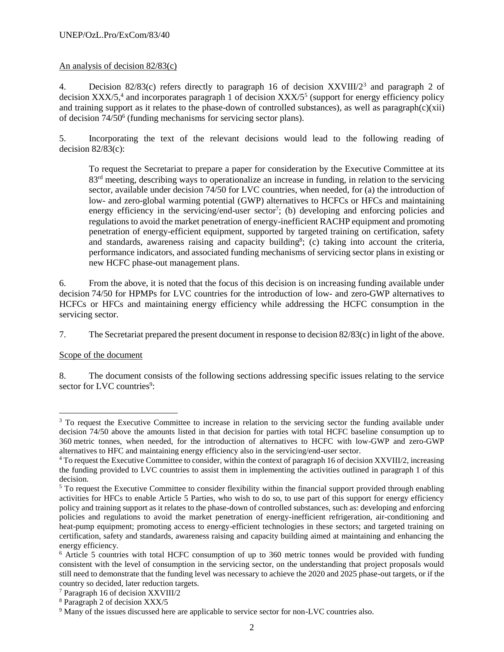#### UNEP/OzL.Pro/ExCom/83/40

#### An analysis of decision 82/83(c)

4. Decision 82/83(c) refers directly to paragraph 16 of decision XXVIII/2<sup>3</sup> and paragraph 2 of decision  $XXX/5$ <sup>4</sup>, and incorporates paragraph 1 of decision  $XXX/5<sup>5</sup>$  (support for energy efficiency policy and training support as it relates to the phase-down of controlled substances), as well as paragraph $(c)(xii)$ of decision 74/50<sup>6</sup> (funding mechanisms for servicing sector plans).

5. Incorporating the text of the relevant decisions would lead to the following reading of decision  $82/83(c)$ :

To request the Secretariat to prepare a paper for consideration by the Executive Committee at its 83<sup>rd</sup> meeting, describing ways to operationalize an increase in funding, in relation to the servicing sector, available under decision 74/50 for LVC countries, when needed, for (a) the introduction of low- and zero-global warming potential (GWP) alternatives to HCFCs or HFCs and maintaining energy efficiency in the servicing/end-user sector<sup>7</sup>; (b) developing and enforcing policies and regulations to avoid the market penetration of energy-inefficient RACHP equipment and promoting penetration of energy-efficient equipment, supported by targeted training on certification, safety and standards, awareness raising and capacity building<sup>8</sup>; (c) taking into account the criteria, performance indicators, and associated funding mechanisms of servicing sector plans in existing or new HCFC phase-out management plans.

6. From the above, it is noted that the focus of this decision is on increasing funding available under decision 74/50 for HPMPs for LVC countries for the introduction of low- and zero-GWP alternatives to HCFCs or HFCs and maintaining energy efficiency while addressing the HCFC consumption in the servicing sector.

7. The Secretariat prepared the present document in response to decision 82/83(c) in light of the above.

#### Scope of the document

l

8. The document consists of the following sections addressing specific issues relating to the service sector for LVC countries<sup>9</sup>:

<sup>&</sup>lt;sup>3</sup> To request the Executive Committee to increase in relation to the servicing sector the funding available under decision 74/50 above the amounts listed in that decision for parties with total HCFC baseline consumption up to 360 metric tonnes, when needed, for the introduction of alternatives to HCFC with low-GWP and zero-GWP alternatives to HFC and maintaining energy efficiency also in the servicing/end-user sector.

<sup>&</sup>lt;sup>4</sup> To request the Executive Committee to consider, within the context of paragraph 16 of decision XXVIII/2, increasing the funding provided to LVC countries to assist them in implementing the activities outlined in paragraph 1 of this decision.

<sup>&</sup>lt;sup>5</sup> To request the Executive Committee to consider flexibility within the financial support provided through enabling activities for HFCs to enable Article 5 Parties, who wish to do so, to use part of this support for energy efficiency policy and training support as it relates to the phase-down of controlled substances, such as: developing and enforcing policies and regulations to avoid the market penetration of energy-inefficient refrigeration, air-conditioning and heat-pump equipment; promoting access to energy-efficient technologies in these sectors; and targeted training on certification, safety and standards, awareness raising and capacity building aimed at maintaining and enhancing the energy efficiency.

<sup>6</sup> Article 5 countries with total HCFC consumption of up to 360 metric tonnes would be provided with funding consistent with the level of consumption in the servicing sector, on the understanding that project proposals would still need to demonstrate that the funding level was necessary to achieve the 2020 and 2025 phase-out targets, or if the country so decided, later reduction targets.

<sup>7</sup> Paragraph 16 of decision XXVIII/2

<sup>8</sup> Paragraph 2 of decision XXX/5

<sup>&</sup>lt;sup>9</sup> Many of the issues discussed here are applicable to service sector for non-LVC countries also.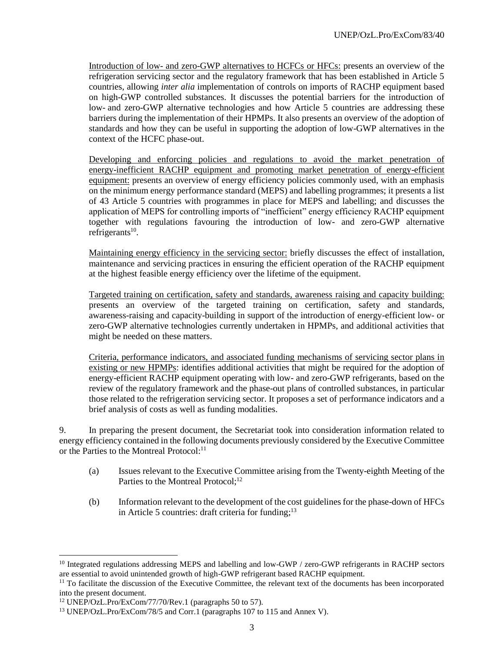Introduction of low- and zero-GWP alternatives to HCFCs or HFCs: presents an overview of the refrigeration servicing sector and the regulatory framework that has been established in Article 5 countries, allowing *inter alia* implementation of controls on imports of RACHP equipment based on high-GWP controlled substances. It discusses the potential barriers for the introduction of low- and zero-GWP alternative technologies and how Article 5 countries are addressing these barriers during the implementation of their HPMPs. It also presents an overview of the adoption of standards and how they can be useful in supporting the adoption of low-GWP alternatives in the context of the HCFC phase-out.

Developing and enforcing policies and regulations to avoid the market penetration of energy-inefficient RACHP equipment and promoting market penetration of energy-efficient equipment: presents an overview of energy efficiency policies commonly used, with an emphasis on the minimum energy performance standard (MEPS) and labelling programmes; it presents a list of 43 Article 5 countries with programmes in place for MEPS and labelling; and discusses the application of MEPS for controlling imports of "inefficient" energy efficiency RACHP equipment together with regulations favouring the introduction of low- and zero-GWP alternative refrigerants $^{10}$ .

Maintaining energy efficiency in the servicing sector: briefly discusses the effect of installation, maintenance and servicing practices in ensuring the efficient operation of the RACHP equipment at the highest feasible energy efficiency over the lifetime of the equipment.

Targeted training on certification, safety and standards, awareness raising and capacity building: presents an overview of the targeted training on certification, safety and standards, awareness-raising and capacity-building in support of the introduction of energy-efficient low- or zero-GWP alternative technologies currently undertaken in HPMPs, and additional activities that might be needed on these matters.

Criteria, performance indicators, and associated funding mechanisms of servicing sector plans in existing or new HPMPs: identifies additional activities that might be required for the adoption of energy-efficient RACHP equipment operating with low- and zero-GWP refrigerants, based on the review of the regulatory framework and the phase-out plans of controlled substances, in particular those related to the refrigeration servicing sector. It proposes a set of performance indicators and a brief analysis of costs as well as funding modalities.

9. In preparing the present document, the Secretariat took into consideration information related to energy efficiency contained in the following documents previously considered by the Executive Committee or the Parties to the Montreal Protocol:<sup>11</sup>

- (a) Issues relevant to the Executive Committee arising from the Twenty-eighth Meeting of the Parties to the Montreal Protocol;<sup>12</sup>
- (b) Information relevant to the development of the cost guidelines for the phase-down of HFCs in Article 5 countries: draft criteria for funding;<sup>13</sup>

l

<sup>&</sup>lt;sup>10</sup> Integrated regulations addressing MEPS and labelling and low-GWP / zero-GWP refrigerants in RACHP sectors are essential to avoid unintended growth of high-GWP refrigerant based RACHP equipment.

 $11$  To facilitate the discussion of the Executive Committee, the relevant text of the documents has been incorporated into the present document.

 $12$  UNEP/OzL.Pro/ExCom/77/70/Rev.1 (paragraphs 50 to 57).

<sup>13</sup> UNEP/OzL.Pro/ExCom/78/5 and Corr.1 (paragraphs 107 to 115 and Annex V).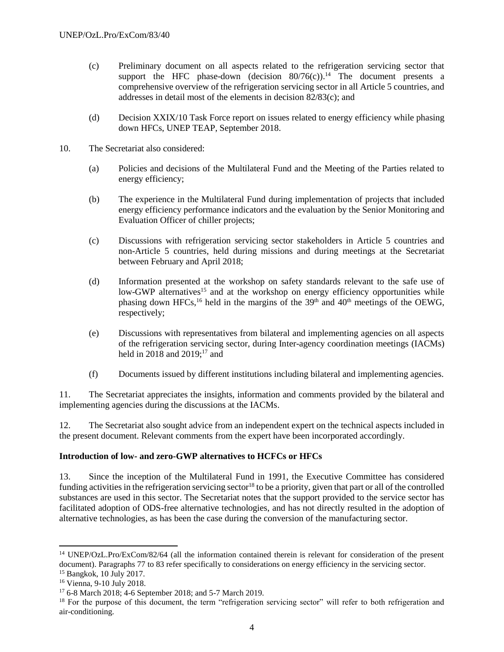- (c) Preliminary document on all aspects related to the refrigeration servicing sector that support the HFC phase-down (decision  $80/76(c)$ ).<sup>14</sup> The document presents a comprehensive overview of the refrigeration servicing sector in all Article 5 countries, and addresses in detail most of the elements in decision 82/83(c); and
- (d) Decision XXIX/10 Task Force report on issues related to energy efficiency while phasing down HFCs, UNEP TEAP, September 2018.
- 10. The Secretariat also considered:
	- (a) Policies and decisions of the Multilateral Fund and the Meeting of the Parties related to energy efficiency;
	- (b) The experience in the Multilateral Fund during implementation of projects that included energy efficiency performance indicators and the evaluation by the Senior Monitoring and Evaluation Officer of chiller projects;
	- (c) Discussions with refrigeration servicing sector stakeholders in Article 5 countries and non-Article 5 countries, held during missions and during meetings at the Secretariat between February and April 2018;
	- (d) Information presented at the workshop on safety standards relevant to the safe use of low-GWP alternatives<sup>15</sup> and at the workshop on energy efficiency opportunities while phasing down HFCs,<sup>16</sup> held in the margins of the  $39<sup>th</sup>$  and  $40<sup>th</sup>$  meetings of the OEWG, respectively;
	- (e) Discussions with representatives from bilateral and implementing agencies on all aspects of the refrigeration servicing sector, during Inter-agency coordination meetings (IACMs) held in 2018 and 2019; $17$  and
	- (f) Documents issued by different institutions including bilateral and implementing agencies.

11. The Secretariat appreciates the insights, information and comments provided by the bilateral and implementing agencies during the discussions at the IACMs.

12. The Secretariat also sought advice from an independent expert on the technical aspects included in the present document. Relevant comments from the expert have been incorporated accordingly.

# **Introduction of low- and zero-GWP alternatives to HCFCs or HFCs**

13. Since the inception of the Multilateral Fund in 1991, the Executive Committee has considered funding activities in the refrigeration servicing sector<sup>18</sup> to be a priority, given that part or all of the controlled substances are used in this sector. The Secretariat notes that the support provided to the service sector has facilitated adoption of ODS-free alternative technologies, and has not directly resulted in the adoption of alternative technologies, as has been the case during the conversion of the manufacturing sector.

<sup>14</sup> UNEP/OzL.Pro/ExCom/82/64 (all the information contained therein is relevant for consideration of the present document). Paragraphs 77 to 83 refer specifically to considerations on energy efficiency in the servicing sector. <sup>15</sup> Bangkok, 10 July 2017.

<sup>16</sup> Vienna, 9-10 July 2018.

<sup>17</sup> 6-8 March 2018; 4-6 September 2018; and 5-7 March 2019.

<sup>&</sup>lt;sup>18</sup> For the purpose of this document, the term "refrigeration servicing sector" will refer to both refrigeration and air-conditioning.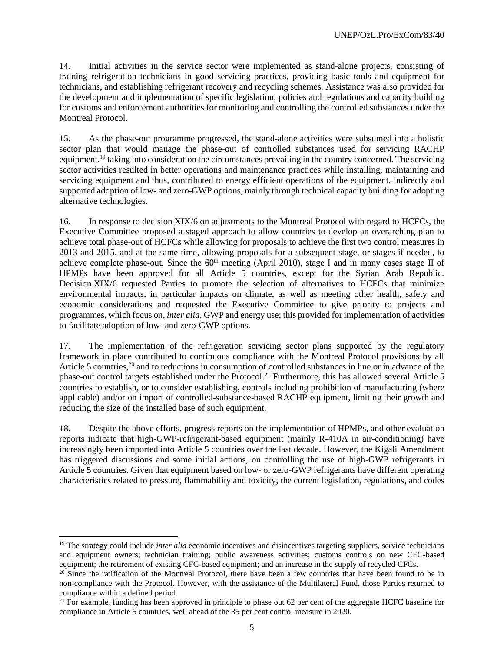14. Initial activities in the service sector were implemented as stand-alone projects, consisting of training refrigeration technicians in good servicing practices, providing basic tools and equipment for technicians, and establishing refrigerant recovery and recycling schemes. Assistance was also provided for the development and implementation of specific legislation, policies and regulations and capacity building for customs and enforcement authorities for monitoring and controlling the controlled substances under the Montreal Protocol.

15. As the phase-out programme progressed, the stand-alone activities were subsumed into a holistic sector plan that would manage the phase-out of controlled substances used for servicing RACHP equipment,<sup>19</sup> taking into consideration the circumstances prevailing in the country concerned. The servicing sector activities resulted in better operations and maintenance practices while installing, maintaining and servicing equipment and thus, contributed to energy efficient operations of the equipment, indirectly and supported adoption of low- and zero-GWP options, mainly through technical capacity building for adopting alternative technologies.

16. In response to decision XIX/6 on adjustments to the Montreal Protocol with regard to HCFCs, the Executive Committee proposed a staged approach to allow countries to develop an overarching plan to achieve total phase-out of HCFCs while allowing for proposals to achieve the first two control measures in 2013 and 2015, and at the same time, allowing proposals for a subsequent stage, or stages if needed, to achieve complete phase-out. Since the  $60<sup>th</sup>$  meeting (April 2010), stage I and in many cases stage II of HPMPs have been approved for all Article 5 countries, except for the Syrian Arab Republic. Decision XIX/6 requested Parties to promote the selection of alternatives to HCFCs that minimize environmental impacts, in particular impacts on climate, as well as meeting other health, safety and economic considerations and requested the Executive Committee to give priority to projects and programmes, which focus on, *inter alia*, GWP and energy use; this provided for implementation of activities to facilitate adoption of low- and zero-GWP options.

17. The implementation of the refrigeration servicing sector plans supported by the regulatory framework in place contributed to continuous compliance with the Montreal Protocol provisions by all Article 5 countries,<sup>20</sup> and to reductions in consumption of controlled substances in line or in advance of the phase-out control targets established under the Protocol.<sup>21</sup> Furthermore, this has allowed several Article 5 countries to establish, or to consider establishing, controls including prohibition of manufacturing (where applicable) and/or on import of controlled-substance-based RACHP equipment, limiting their growth and reducing the size of the installed base of such equipment.

18. Despite the above efforts, progress reports on the implementation of HPMPs, and other evaluation reports indicate that high-GWP-refrigerant-based equipment (mainly R-410A in air-conditioning) have increasingly been imported into Article 5 countries over the last decade. However, the Kigali Amendment has triggered discussions and some initial actions, on controlling the use of high-GWP refrigerants in Article 5 countries. Given that equipment based on low- or zero-GWP refrigerants have different operating characteristics related to pressure, flammability and toxicity, the current legislation, regulations, and codes

<sup>&</sup>lt;sup>19</sup> The strategy could include *inter alia* economic incentives and disincentives targeting suppliers, service technicians and equipment owners; technician training; public awareness activities; customs controls on new CFC-based equipment; the retirement of existing CFC-based equipment; and an increase in the supply of recycled CFCs.

 $20$  Since the ratification of the Montreal Protocol, there have been a few countries that have been found to be in non-compliance with the Protocol. However, with the assistance of the Multilateral Fund, those Parties returned to compliance within a defined period.

 $21$  For example, funding has been approved in principle to phase out 62 per cent of the aggregate HCFC baseline for compliance in Article 5 countries, well ahead of the 35 per cent control measure in 2020.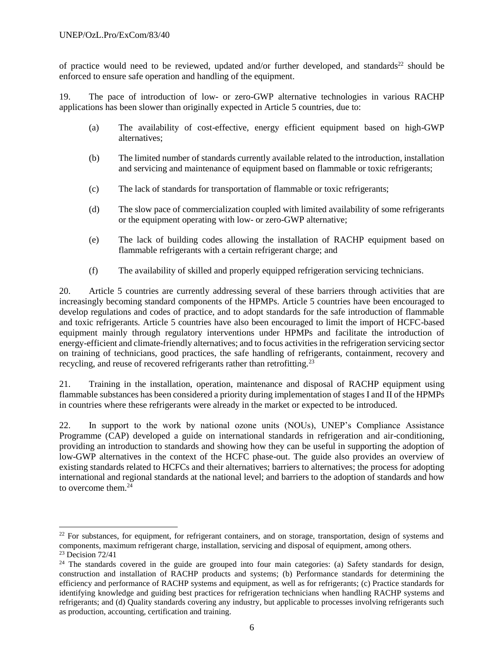of practice would need to be reviewed, updated and/or further developed, and standards<sup>22</sup> should be enforced to ensure safe operation and handling of the equipment.

19. The pace of introduction of low- or zero-GWP alternative technologies in various RACHP applications has been slower than originally expected in Article 5 countries, due to:

- (a) The availability of cost-effective, energy efficient equipment based on high-GWP alternatives;
- (b) The limited number of standards currently available related to the introduction, installation and servicing and maintenance of equipment based on flammable or toxic refrigerants;
- (c) The lack of standards for transportation of flammable or toxic refrigerants;
- (d) The slow pace of commercialization coupled with limited availability of some refrigerants or the equipment operating with low- or zero-GWP alternative;
- (e) The lack of building codes allowing the installation of RACHP equipment based on flammable refrigerants with a certain refrigerant charge; and
- (f) The availability of skilled and properly equipped refrigeration servicing technicians.

20. Article 5 countries are currently addressing several of these barriers through activities that are increasingly becoming standard components of the HPMPs. Article 5 countries have been encouraged to develop regulations and codes of practice, and to adopt standards for the safe introduction of flammable and toxic refrigerants. Article 5 countries have also been encouraged to limit the import of HCFC-based equipment mainly through regulatory interventions under HPMPs and facilitate the introduction of energy-efficient and climate-friendly alternatives; and to focus activities in the refrigeration servicing sector on training of technicians, good practices, the safe handling of refrigerants, containment, recovery and recycling, and reuse of recovered refrigerants rather than retrofitting.<sup>23</sup>

21. Training in the installation, operation, maintenance and disposal of RACHP equipment using flammable substances has been considered a priority during implementation of stages I and II of the HPMPs in countries where these refrigerants were already in the market or expected to be introduced.

22. In support to the work by national ozone units (NOUs), UNEP's Compliance Assistance Programme (CAP) developed a guide on international standards in refrigeration and air-conditioning, providing an introduction to standards and showing how they can be useful in supporting the adoption of low-GWP alternatives in the context of the HCFC phase-out. The guide also provides an overview of existing standards related to HCFCs and their alternatives; barriers to alternatives; the process for adopting international and regional standards at the national level; and barriers to the adoption of standards and how to overcome them. $24$ 

l

 $22$  For substances, for equipment, for refrigerant containers, and on storage, transportation, design of systems and components, maximum refrigerant charge, installation, servicing and disposal of equipment, among others.  $23$  Decision  $72/41$ 

<sup>&</sup>lt;sup>24</sup> The standards covered in the guide are grouped into four main categories: (a) Safety standards for design, construction and installation of RACHP products and systems; (b) Performance standards for determining the efficiency and performance of RACHP systems and equipment, as well as for refrigerants; (c) Practice standards for identifying knowledge and guiding best practices for refrigeration technicians when handling RACHP systems and refrigerants; and (d) Quality standards covering any industry, but applicable to processes involving refrigerants such as production, accounting, certification and training.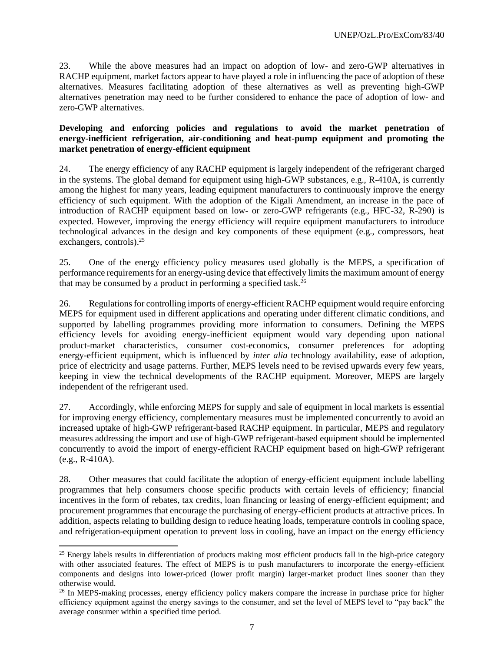23. While the above measures had an impact on adoption of low- and zero-GWP alternatives in RACHP equipment, market factors appear to have played a role in influencing the pace of adoption of these alternatives. Measures facilitating adoption of these alternatives as well as preventing high-GWP alternatives penetration may need to be further considered to enhance the pace of adoption of low- and zero-GWP alternatives.

#### **Developing and enforcing policies and regulations to avoid the market penetration of energy-inefficient refrigeration, air-conditioning and heat-pump equipment and promoting the market penetration of energy-efficient equipment**

24. The energy efficiency of any RACHP equipment is largely independent of the refrigerant charged in the systems. The global demand for equipment using high-GWP substances, e.g., R-410A, is currently among the highest for many years, leading equipment manufacturers to continuously improve the energy efficiency of such equipment. With the adoption of the Kigali Amendment, an increase in the pace of introduction of RACHP equipment based on low- or zero-GWP refrigerants (e.g., HFC-32, R-290) is expected. However, improving the energy efficiency will require equipment manufacturers to introduce technological advances in the design and key components of these equipment (e.g., compressors, heat exchangers, controls).<sup>25</sup>

25. One of the energy efficiency policy measures used globally is the MEPS, a specification of performance requirements for an energy-using device that effectively limits the maximum amount of energy that may be consumed by a product in performing a specified task.<sup>26</sup>

26. Regulations for controlling imports of energy-efficient RACHP equipment would require enforcing MEPS for equipment used in different applications and operating under different climatic conditions, and supported by labelling programmes providing more information to consumers. Defining the MEPS efficiency levels for avoiding energy-inefficient equipment would vary depending upon national product-market characteristics, consumer cost-economics, consumer preferences for adopting energy-efficient equipment, which is influenced by *inter alia* technology availability, ease of adoption, price of electricity and usage patterns. Further, MEPS levels need to be revised upwards every few years, keeping in view the technical developments of the RACHP equipment. Moreover, MEPS are largely independent of the refrigerant used.

27. Accordingly, while enforcing MEPS for supply and sale of equipment in local markets is essential for improving energy efficiency, complementary measures must be implemented concurrently to avoid an increased uptake of high-GWP refrigerant-based RACHP equipment. In particular, MEPS and regulatory measures addressing the import and use of high-GWP refrigerant-based equipment should be implemented concurrently to avoid the import of energy-efficient RACHP equipment based on high-GWP refrigerant (e.g., R-410A).

28. Other measures that could facilitate the adoption of energy-efficient equipment include labelling programmes that help consumers choose specific products with certain levels of efficiency; financial incentives in the form of rebates, tax credits, loan financing or leasing of energy-efficient equipment; and procurement programmes that encourage the purchasing of energy-efficient products at attractive prices. In addition, aspects relating to building design to reduce heating loads, temperature controls in cooling space, and refrigeration-equipment operation to prevent loss in cooling, have an impact on the energy efficiency

 $25$  Energy labels results in differentiation of products making most efficient products fall in the high-price category with other associated features. The effect of MEPS is to push manufacturers to incorporate the energy-efficient components and designs into lower-priced (lower profit margin) larger-market product lines sooner than they otherwise would.

<sup>&</sup>lt;sup>26</sup> In MEPS-making processes, energy efficiency policy makers compare the increase in purchase price for higher efficiency equipment against the energy savings to the consumer, and set the level of MEPS level to "pay back" the average consumer within a specified time period.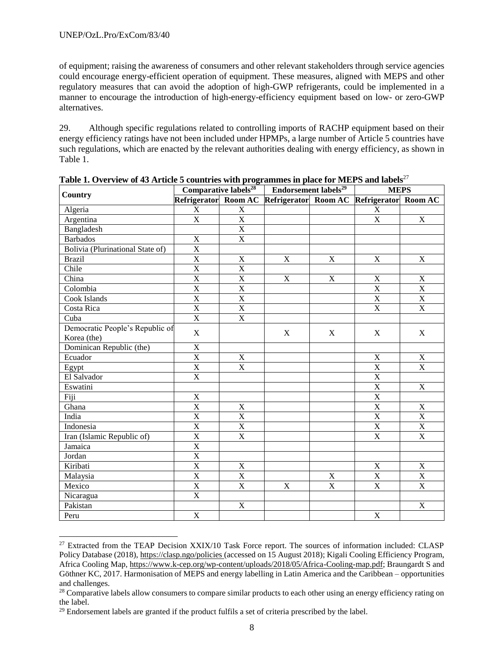$\overline{a}$ 

of equipment; raising the awareness of consumers and other relevant stakeholders through service agencies could encourage energy-efficient operation of equipment. These measures, aligned with MEPS and other regulatory measures that can avoid the adoption of high-GWP refrigerants, could be implemented in a manner to encourage the introduction of high-energy-efficiency equipment based on low- or zero-GWP alternatives.

29. Although specific regulations related to controlling imports of RACHP equipment based on their energy efficiency ratings have not been included under HPMPs, a large number of Article 5 countries have such regulations, which are enacted by the relevant authorities dealing with energy efficiency, as shown in Table 1.

| <b>Country</b>                   |                         |                         | Comparative labels <sup>28</sup>   Endorsement labels <sup>29</sup> |                         | <b>MEPS</b>             |                           |
|----------------------------------|-------------------------|-------------------------|---------------------------------------------------------------------|-------------------------|-------------------------|---------------------------|
|                                  |                         |                         | Refrigerator Room AC Refrigerator Room AC Refrigerator Room AC      |                         |                         |                           |
| Algeria                          | $\mathbf X$             | $\mathbf X$             |                                                                     |                         | $\mathbf X$             |                           |
| Argentina                        | $\overline{\text{X}}$   | $\overline{X}$          |                                                                     |                         | $\mathbf X$             | $\mathbf X$               |
| Bangladesh                       |                         | $\overline{\mathbf{X}}$ |                                                                     |                         |                         |                           |
| <b>Barbados</b>                  | $\mathbf X$             | $\overline{\mathbf{X}}$ |                                                                     |                         |                         |                           |
| Bolivia (Plurinational State of) | $\overline{X}$          |                         |                                                                     |                         |                         |                           |
| <b>Brazil</b>                    | $\overline{\text{X}}$   | $\mathbf X$             | $\mathbf X$                                                         | $\mathbf X$             | $\mathbf X$             | $\mathbf X$               |
| Chile                            | $\overline{\textbf{X}}$ | $\overline{X}$          |                                                                     |                         |                         |                           |
| China                            | $\overline{\text{X}}$   | $\overline{X}$          | $\mathbf X$                                                         | $\mathbf X$             | $\mathbf X$             | $\mathbf X$               |
| Colombia                         | $\overline{\textbf{X}}$ | $\overline{X}$          |                                                                     |                         | $\overline{X}$          | $\overline{\textbf{X}}$   |
| Cook Islands                     | $\overline{\textbf{X}}$ | $\overline{\mathbf{X}}$ |                                                                     |                         | $\overline{\mathbf{X}}$ | $\boldsymbol{\mathrm{X}}$ |
| Costa Rica                       | $\overline{X}$          | $\overline{X}$          |                                                                     |                         | $\overline{X}$          | $\overline{X}$            |
| Cuba                             | $\overline{X}$          | $\overline{\mathbf{X}}$ |                                                                     |                         |                         |                           |
| Democratic People's Republic of  | $\mathbf X$             |                         | $\boldsymbol{\mathrm{X}}$                                           | $\mathbf X$             | $\mathbf X$             | $\mathbf X$               |
| Korea (the)                      |                         |                         |                                                                     |                         |                         |                           |
| Dominican Republic (the)         | $\mathbf X$             |                         |                                                                     |                         |                         |                           |
| Ecuador                          | $\mathbf X$             | X                       |                                                                     |                         | $\mathbf X$             | $\mathbf X$               |
| Egypt                            | $\overline{\text{X}}$   | $\overline{\mathbf{X}}$ |                                                                     |                         | $\overline{X}$          | $\overline{X}$            |
| El Salvador                      | $\overline{\text{X}}$   |                         |                                                                     |                         | $\overline{\mathbf{X}}$ |                           |
| Eswatini                         |                         |                         |                                                                     |                         | $\overline{X}$          | $\mathbf X$               |
| Fiji                             | $\mathbf X$             |                         |                                                                     |                         | $\overline{X}$          |                           |
| Ghana                            | $\overline{X}$          | $\mathbf X$             |                                                                     |                         | $\overline{X}$          | $\mathbf X$               |
| India                            | $\overline{\text{X}}$   | $\overline{\mathbf{X}}$ |                                                                     |                         | $\overline{\mathbf{X}}$ | $\overline{X}$            |
| Indonesia                        | $\overline{X}$          | $\overline{X}$          |                                                                     |                         | $\overline{X}$          | $\mathbf X$               |
| Iran (Islamic Republic of)       | $\overline{X}$          | $\overline{\mathbf{X}}$ |                                                                     |                         | $\overline{X}$          | $\mathbf X$               |
| Jamaica                          | $\overline{X}$          |                         |                                                                     |                         |                         |                           |
| Jordan                           | $\overline{X}$          |                         |                                                                     |                         |                         |                           |
| Kiribati                         | $\overline{X}$          | $\mathbf X$             |                                                                     |                         | $\mathbf X$             | $\mathbf X$               |
| Malaysia                         | $\overline{X}$          | $\overline{\mathbf{X}}$ |                                                                     | $\mathbf X$             | $\overline{X}$          | $\overline{X}$            |
| Mexico                           | $\overline{\mathrm{X}}$ | $\overline{X}$          | $\mathbf X$                                                         | $\overline{\mathbf{X}}$ | $\overline{\mathbf{X}}$ | $\overline{\mathbf{X}}$   |
| Nicaragua                        | $\overline{X}$          |                         |                                                                     |                         |                         |                           |
| Pakistan                         |                         | $\mathbf X$             |                                                                     |                         |                         | $\mathbf X$               |
| Peru                             | $\mathbf X$             |                         |                                                                     |                         | $\mathbf X$             |                           |

**Table 1. Overview of 43 Article 5 countries with programmes in place for MEPS and labels**<sup>27</sup>

<sup>&</sup>lt;sup>27</sup> Extracted from the TEAP Decision XXIX/10 Task Force report. The sources of information included: CLASP Policy Database (2018)[, https://clasp.ngo/policies](https://clasp.ngo/policies) (accessed on 15 August 2018); Kigali Cooling Efficiency Program, Africa Cooling Map[, https://www.k-cep.org/wp-content/uploads/2018/05/Africa-Cooling-map.pdf;](https://www.k-cep.org/wp-content/uploads/2018/05/Africa-Cooling-map.pdf) Braungardt S and Göthner KC, 2017. Harmonisation of MEPS and energy labelling in Latin America and the Caribbean – opportunities and challenges.

<sup>&</sup>lt;sup>28</sup> Comparative labels allow consumers to compare similar products to each other using an energy efficiency rating on the label.

<sup>&</sup>lt;sup>29</sup> Endorsement labels are granted if the product fulfils a set of criteria prescribed by the label.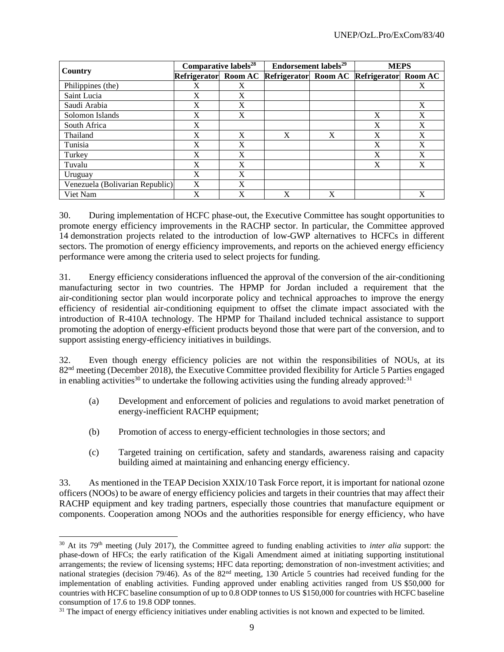|                                 | Comparative labels <sup>28</sup> |                | Endorsement labels <sup>29</sup>          |   | <b>MEPS</b> |   |
|---------------------------------|----------------------------------|----------------|-------------------------------------------|---|-------------|---|
| Country                         | <b>Refrigerator</b>              | <b>Room AC</b> | Refrigerator Room AC Refrigerator Room AC |   |             |   |
| Philippines (the)               | X                                | X              |                                           |   |             | X |
| Saint Lucia                     | X                                | X              |                                           |   |             |   |
| Saudi Arabia                    | X                                | X              |                                           |   |             | X |
| Solomon Islands                 | X                                | X              |                                           |   | X           | X |
| South Africa                    | X                                |                |                                           |   | X           | X |
| Thailand                        | X                                | X              | X                                         | X | X           | X |
| Tunisia                         | X                                | X              |                                           |   | X           | X |
| Turkey                          | X                                | X              |                                           |   | X           | X |
| Tuvalu                          | X                                | X              |                                           |   | X           | X |
| Uruguay                         | X                                | X              |                                           |   |             |   |
| Venezuela (Bolivarian Republic) | X                                | X              |                                           |   |             |   |
| Viet Nam                        | X                                | X              | X                                         | X |             | X |

30. During implementation of HCFC phase-out, the Executive Committee has sought opportunities to promote energy efficiency improvements in the RACHP sector. In particular, the Committee approved 14 demonstration projects related to the introduction of low-GWP alternatives to HCFCs in different sectors. The promotion of energy efficiency improvements, and reports on the achieved energy efficiency performance were among the criteria used to select projects for funding.

31. Energy efficiency considerations influenced the approval of the conversion of the air-conditioning manufacturing sector in two countries. The HPMP for Jordan included a requirement that the air-conditioning sector plan would incorporate policy and technical approaches to improve the energy efficiency of residential air-conditioning equipment to offset the climate impact associated with the introduction of R-410A technology. The HPMP for Thailand included technical assistance to support promoting the adoption of energy-efficient products beyond those that were part of the conversion, and to support assisting energy-efficiency initiatives in buildings.

32. Even though energy efficiency policies are not within the responsibilities of NOUs, at its 82<sup>nd</sup> meeting (December 2018), the Executive Committee provided flexibility for Article 5 Parties engaged in enabling activities<sup>30</sup> to undertake the following activities using the funding already approved:<sup>31</sup>

- (a) Development and enforcement of policies and regulations to avoid market penetration of energy-inefficient RACHP equipment;
- (b) Promotion of access to energy-efficient technologies in those sectors; and
- (c) Targeted training on certification, safety and standards, awareness raising and capacity building aimed at maintaining and enhancing energy efficiency.

33. As mentioned in the TEAP Decision XXIX/10 Task Force report, it is important for national ozone officers (NOOs) to be aware of energy efficiency policies and targets in their countries that may affect their RACHP equipment and key trading partners, especially those countries that manufacture equipment or components. Cooperation among NOOs and the authorities responsible for energy efficiency, who have

<sup>30</sup> At its 79th meeting (July 2017), the Committee agreed to funding enabling activities to *inter alia* support: the phase-down of HFCs; the early ratification of the Kigali Amendment aimed at initiating supporting institutional arrangements; the review of licensing systems; HFC data reporting; demonstration of non-investment activities; and national strategies (decision 79/46). As of the 82<sup>nd</sup> meeting, 130 Article 5 countries had received funding for the implementation of enabling activities. Funding approved under enabling activities ranged from US \$50,000 for countries with HCFC baseline consumption of up to 0.8 ODP tonnes to US \$150,000 for countries with HCFC baseline consumption of 17.6 to 19.8 ODP tonnes.

<sup>&</sup>lt;sup>31</sup> The impact of energy efficiency initiatives under enabling activities is not known and expected to be limited.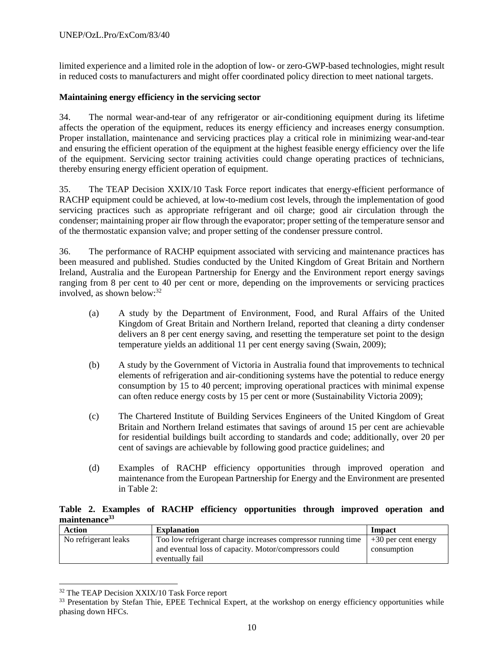limited experience and a limited role in the adoption of low- or zero-GWP-based technologies, might result in reduced costs to manufacturers and might offer coordinated policy direction to meet national targets.

# **Maintaining energy efficiency in the servicing sector**

34. The normal wear-and-tear of any refrigerator or air-conditioning equipment during its lifetime affects the operation of the equipment, reduces its energy efficiency and increases energy consumption. Proper installation, maintenance and servicing practices play a critical role in minimizing wear-and-tear and ensuring the efficient operation of the equipment at the highest feasible energy efficiency over the life of the equipment. Servicing sector training activities could change operating practices of technicians, thereby ensuring energy efficient operation of equipment.

35. The TEAP Decision XXIX/10 Task Force report indicates that energy-efficient performance of RACHP equipment could be achieved, at low-to-medium cost levels, through the implementation of good servicing practices such as appropriate refrigerant and oil charge; good air circulation through the condenser; maintaining proper air flow through the evaporator; proper setting of the temperature sensor and of the thermostatic expansion valve; and proper setting of the condenser pressure control.

36. The performance of RACHP equipment associated with servicing and maintenance practices has been measured and published. Studies conducted by the United Kingdom of Great Britain and Northern Ireland, Australia and the European Partnership for Energy and the Environment report energy savings ranging from 8 per cent to 40 per cent or more, depending on the improvements or servicing practices involved, as shown below:<sup>32</sup>

- (a) A study by the Department of Environment, Food, and Rural Affairs of the United Kingdom of Great Britain and Northern Ireland, reported that cleaning a dirty condenser delivers an 8 per cent energy saving, and resetting the temperature set point to the design temperature yields an additional 11 per cent energy saving (Swain, 2009);
- (b) A study by the Government of Victoria in Australia found that improvements to technical elements of refrigeration and air-conditioning systems have the potential to reduce energy consumption by 15 to 40 percent; improving operational practices with minimal expense can often reduce energy costs by 15 per cent or more (Sustainability Victoria 2009);
- (c) The Chartered Institute of Building Services Engineers of the United Kingdom of Great Britain and Northern Ireland estimates that savings of around 15 per cent are achievable for residential buildings built according to standards and code; additionally, over 20 per cent of savings are achievable by following good practice guidelines; and
- (d) Examples of RACHP efficiency opportunities through improved operation and maintenance from the European Partnership for Energy and the Environment are presented in Table 2:

# **Table 2. Examples of RACHP efficiency opportunities through improved operation and maintenance<sup>33</sup>**

| Action               | <b>Explanation</b>                                           | Impact                |
|----------------------|--------------------------------------------------------------|-----------------------|
| No refrigerant leaks | Too low refrigerant charge increases compressor running time | $+30$ per cent energy |
|                      | and eventual loss of capacity. Motor/compressors could       | consumption           |
|                      | eventually fail                                              |                       |

<sup>32</sup> The TEAP Decision XXIX/10 Task Force report

l

<sup>&</sup>lt;sup>33</sup> Presentation by Stefan Thie, EPEE Technical Expert, at the workshop on energy efficiency opportunities while phasing down HFCs.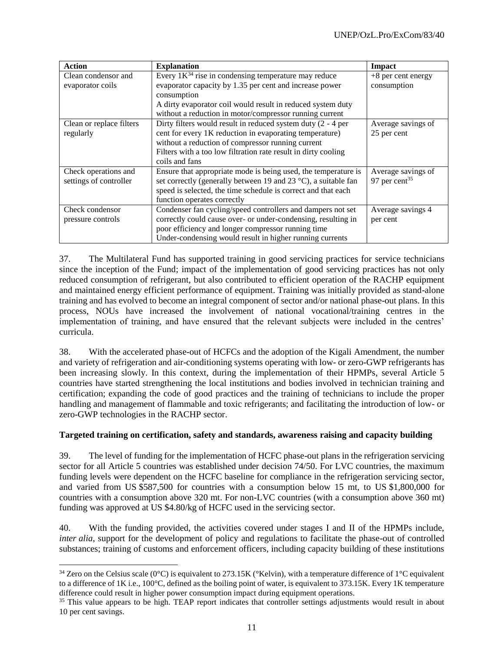| <b>Action</b>            | <b>Explanation</b>                                              | Impact                    |
|--------------------------|-----------------------------------------------------------------|---------------------------|
| Clean condensor and      | Every $1K^{34}$ rise in condensing temperature may reduce       | $+8$ per cent energy      |
| evaporator coils         | evaporator capacity by 1.35 per cent and increase power         | consumption               |
|                          | consumption                                                     |                           |
|                          | A dirty evaporator coil would result in reduced system duty     |                           |
|                          | without a reduction in motor/compressor running current         |                           |
| Clean or replace filters | Dirty filters would result in reduced system duty $(2 - 4)$ per | Average savings of        |
| regularly                | cent for every 1K reduction in evaporating temperature)         | 25 per cent               |
|                          | without a reduction of compressor running current               |                           |
|                          | Filters with a too low filtration rate result in dirty cooling  |                           |
|                          | coils and fans                                                  |                           |
| Check operations and     | Ensure that appropriate mode is being used, the temperature is  | Average savings of        |
| settings of controller   | set correctly (generally between 19 and 23 °C), a suitable fan  | 97 per cent <sup>35</sup> |
|                          | speed is selected, the time schedule is correct and that each   |                           |
|                          | function operates correctly                                     |                           |
| Check condensor          | Condenser fan cycling/speed controllers and dampers not set     | Average savings 4         |
| pressure controls        | correctly could cause over- or under-condensing, resulting in   | per cent                  |
|                          | poor efficiency and longer compressor running time              |                           |
|                          | Under-condensing would result in higher running currents        |                           |

37. The Multilateral Fund has supported training in good servicing practices for service technicians since the inception of the Fund; impact of the implementation of good servicing practices has not only reduced consumption of refrigerant, but also contributed to efficient operation of the RACHP equipment and maintained energy efficient performance of equipment. Training was initially provided as stand-alone training and has evolved to become an integral component of sector and/or national phase-out plans. In this process, NOUs have increased the involvement of national vocational/training centres in the implementation of training, and have ensured that the relevant subjects were included in the centres' curricula.

38. With the accelerated phase-out of HCFCs and the adoption of the Kigali Amendment, the number and variety of refrigeration and air-conditioning systems operating with low- or zero-GWP refrigerants has been increasing slowly. In this context, during the implementation of their HPMPs, several Article 5 countries have started strengthening the local institutions and bodies involved in technician training and certification; expanding the code of good practices and the training of technicians to include the proper handling and management of flammable and toxic refrigerants; and facilitating the introduction of low- or zero-GWP technologies in the RACHP sector.

# **Targeted training on certification, safety and standards, awareness raising and capacity building**

39. The level of funding for the implementation of HCFC phase-out plans in the refrigeration servicing sector for all Article 5 countries was established under decision 74/50. For LVC countries, the maximum funding levels were dependent on the HCFC baseline for compliance in the refrigeration servicing sector, and varied from US \$587,500 for countries with a consumption below 15 mt, to US \$1,800,000 for countries with a consumption above 320 mt. For non-LVC countries (with a consumption above 360 mt) funding was approved at US \$4.80/kg of HCFC used in the servicing sector.

40. With the funding provided, the activities covered under stages I and II of the HPMPs include, *inter alia*, support for the development of policy and regulations to facilitate the phase-out of controlled substances; training of customs and enforcement officers, including capacity building of these institutions

 $34$  Zero on the Celsius scale (0°C) is equivalent to 273.15K (°Kelvin), with a temperature difference of 1°C equivalent to a difference of 1K i.e., 100°C, defined as the boiling point of water, is equivalent to 373.15K. Every 1K temperature difference could result in higher power consumption impact during equipment operations.

<sup>&</sup>lt;sup>35</sup> This value appears to be high. TEAP report indicates that controller settings adjustments would result in about 10 per cent savings.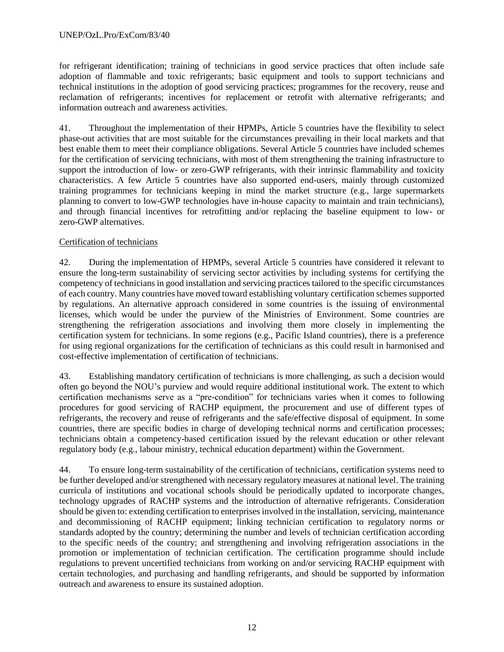for refrigerant identification; training of technicians in good service practices that often include safe adoption of flammable and toxic refrigerants; basic equipment and tools to support technicians and technical institutions in the adoption of good servicing practices; programmes for the recovery, reuse and reclamation of refrigerants; incentives for replacement or retrofit with alternative refrigerants; and information outreach and awareness activities.

41. Throughout the implementation of their HPMPs, Article 5 countries have the flexibility to select phase-out activities that are most suitable for the circumstances prevailing in their local markets and that best enable them to meet their compliance obligations. Several Article 5 countries have included schemes for the certification of servicing technicians, with most of them strengthening the training infrastructure to support the introduction of low- or zero-GWP refrigerants, with their intrinsic flammability and toxicity characteristics. A few Article 5 countries have also supported end-users, mainly through customized training programmes for technicians keeping in mind the market structure (e.g., large supermarkets planning to convert to low-GWP technologies have in-house capacity to maintain and train technicians), and through financial incentives for retrofitting and/or replacing the baseline equipment to low- or zero-GWP alternatives.

# Certification of technicians

42. During the implementation of HPMPs, several Article 5 countries have considered it relevant to ensure the long-term sustainability of servicing sector activities by including systems for certifying the competency of technicians in good installation and servicing practices tailored to the specific circumstances of each country. Many countries have moved toward establishing voluntary certification schemes supported by regulations. An alternative approach considered in some countries is the issuing of environmental licenses, which would be under the purview of the Ministries of Environment. Some countries are strengthening the refrigeration associations and involving them more closely in implementing the certification system for technicians. In some regions (e.g., Pacific Island countries), there is a preference for using regional organizations for the certification of technicians as this could result in harmonised and cost-effective implementation of certification of technicians.

43. Establishing mandatory certification of technicians is more challenging, as such a decision would often go beyond the NOU's purview and would require additional institutional work. The extent to which certification mechanisms serve as a "pre-condition" for technicians varies when it comes to following procedures for good servicing of RACHP equipment, the procurement and use of different types of refrigerants, the recovery and reuse of refrigerants and the safe/effective disposal of equipment. In some countries, there are specific bodies in charge of developing technical norms and certification processes; technicians obtain a competency-based certification issued by the relevant education or other relevant regulatory body (e.g., labour ministry, technical education department) within the Government.

44. To ensure long-term sustainability of the certification of technicians, certification systems need to be further developed and/or strengthened with necessary regulatory measures at national level. The training curricula of institutions and vocational schools should be periodically updated to incorporate changes, technology upgrades of RACHP systems and the introduction of alternative refrigerants. Consideration should be given to: extending certification to enterprises involved in the installation, servicing, maintenance and decommissioning of RACHP equipment; linking technician certification to regulatory norms or standards adopted by the country; determining the number and levels of technician certification according to the specific needs of the country; and strengthening and involving refrigeration associations in the promotion or implementation of technician certification. The certification programme should include regulations to prevent uncertified technicians from working on and/or servicing RACHP equipment with certain technologies, and purchasing and handling refrigerants, and should be supported by information outreach and awareness to ensure its sustained adoption.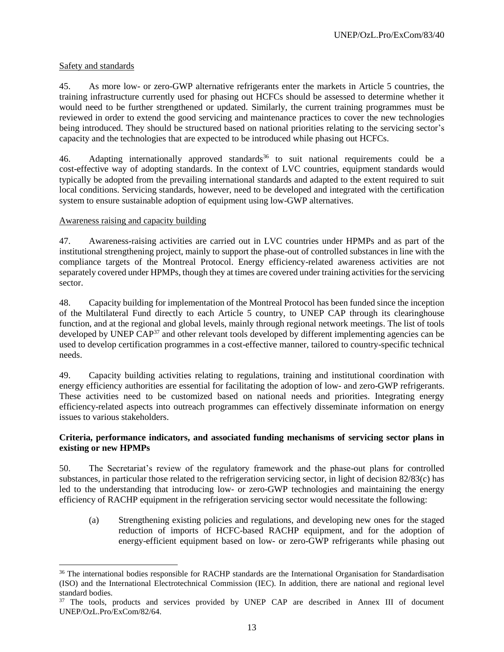# Safety and standards

 $\overline{a}$ 

45. As more low- or zero-GWP alternative refrigerants enter the markets in Article 5 countries, the training infrastructure currently used for phasing out HCFCs should be assessed to determine whether it would need to be further strengthened or updated. Similarly, the current training programmes must be reviewed in order to extend the good servicing and maintenance practices to cover the new technologies being introduced. They should be structured based on national priorities relating to the servicing sector's capacity and the technologies that are expected to be introduced while phasing out HCFCs.

46. Adapting internationally approved standards<sup>36</sup> to suit national requirements could be a cost-effective way of adopting standards. In the context of LVC countries, equipment standards would typically be adopted from the prevailing international standards and adapted to the extent required to suit local conditions. Servicing standards, however, need to be developed and integrated with the certification system to ensure sustainable adoption of equipment using low-GWP alternatives.

#### Awareness raising and capacity building

47. Awareness-raising activities are carried out in LVC countries under HPMPs and as part of the institutional strengthening project, mainly to support the phase-out of controlled substances in line with the compliance targets of the Montreal Protocol. Energy efficiency-related awareness activities are not separately covered under HPMPs, though they at times are covered under training activities for the servicing sector.

48. Capacity building for implementation of the Montreal Protocol has been funded since the inception of the Multilateral Fund directly to each Article 5 country, to UNEP CAP through its clearinghouse function, and at the regional and global levels, mainly through regional network meetings. The list of tools developed by UNEP CAP<sup>37</sup> and other relevant tools developed by different implementing agencies can be used to develop certification programmes in a cost-effective manner, tailored to country-specific technical needs.

49. Capacity building activities relating to regulations, training and institutional coordination with energy efficiency authorities are essential for facilitating the adoption of low- and zero-GWP refrigerants. These activities need to be customized based on national needs and priorities. Integrating energy efficiency-related aspects into outreach programmes can effectively disseminate information on energy issues to various stakeholders.

# **Criteria, performance indicators, and associated funding mechanisms of servicing sector plans in existing or new HPMPs**

50. The Secretariat's review of the regulatory framework and the phase-out plans for controlled substances, in particular those related to the refrigeration servicing sector, in light of decision 82/83(c) has led to the understanding that introducing low- or zero-GWP technologies and maintaining the energy efficiency of RACHP equipment in the refrigeration servicing sector would necessitate the following:

(a) Strengthening existing policies and regulations, and developing new ones for the staged reduction of imports of HCFC-based RACHP equipment, and for the adoption of energy-efficient equipment based on low- or zero-GWP refrigerants while phasing out

<sup>&</sup>lt;sup>36</sup> The international bodies responsible for RACHP standards are the International Organisation for Standardisation (ISO) and the International Electrotechnical Commission (IEC). In addition, there are national and regional level standard bodies.

<sup>&</sup>lt;sup>37</sup> The tools, products and services provided by UNEP CAP are described in Annex III of document UNEP/OzL.Pro/ExCom/82/64.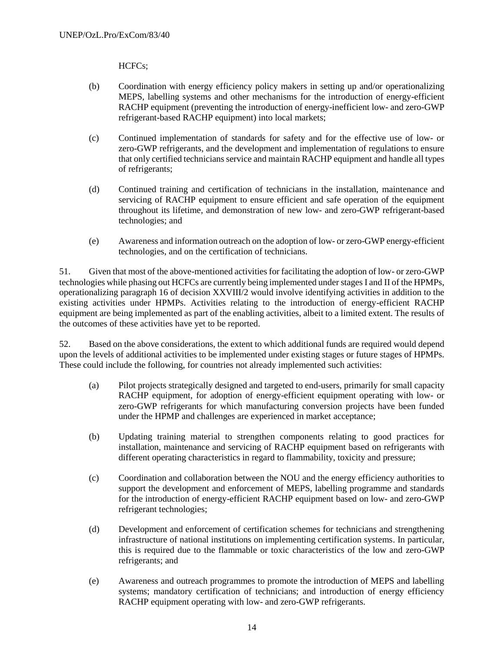HCFCs;

- (b) Coordination with energy efficiency policy makers in setting up and/or operationalizing MEPS, labelling systems and other mechanisms for the introduction of energy-efficient RACHP equipment (preventing the introduction of energy-inefficient low- and zero-GWP refrigerant-based RACHP equipment) into local markets;
- (c) Continued implementation of standards for safety and for the effective use of low- or zero-GWP refrigerants, and the development and implementation of regulations to ensure that only certified technicians service and maintain RACHP equipment and handle all types of refrigerants;
- (d) Continued training and certification of technicians in the installation, maintenance and servicing of RACHP equipment to ensure efficient and safe operation of the equipment throughout its lifetime, and demonstration of new low- and zero-GWP refrigerant-based technologies; and
- (e) Awareness and information outreach on the adoption of low- or zero-GWP energy-efficient technologies, and on the certification of technicians.

51. Given that most of the above-mentioned activities for facilitating the adoption of low- or zero-GWP technologies while phasing out HCFCs are currently being implemented under stages I and II of the HPMPs, operationalizing paragraph 16 of decision XXVIII/2 would involve identifying activities in addition to the existing activities under HPMPs. Activities relating to the introduction of energy-efficient RACHP equipment are being implemented as part of the enabling activities, albeit to a limited extent. The results of the outcomes of these activities have yet to be reported.

52. Based on the above considerations, the extent to which additional funds are required would depend upon the levels of additional activities to be implemented under existing stages or future stages of HPMPs. These could include the following, for countries not already implemented such activities:

- (a) Pilot projects strategically designed and targeted to end-users, primarily for small capacity RACHP equipment, for adoption of energy-efficient equipment operating with low- or zero-GWP refrigerants for which manufacturing conversion projects have been funded under the HPMP and challenges are experienced in market acceptance;
- (b) Updating training material to strengthen components relating to good practices for installation, maintenance and servicing of RACHP equipment based on refrigerants with different operating characteristics in regard to flammability, toxicity and pressure;
- (c) Coordination and collaboration between the NOU and the energy efficiency authorities to support the development and enforcement of MEPS, labelling programme and standards for the introduction of energy-efficient RACHP equipment based on low- and zero-GWP refrigerant technologies;
- (d) Development and enforcement of certification schemes for technicians and strengthening infrastructure of national institutions on implementing certification systems. In particular, this is required due to the flammable or toxic characteristics of the low and zero-GWP refrigerants; and
- (e) Awareness and outreach programmes to promote the introduction of MEPS and labelling systems; mandatory certification of technicians; and introduction of energy efficiency RACHP equipment operating with low- and zero-GWP refrigerants.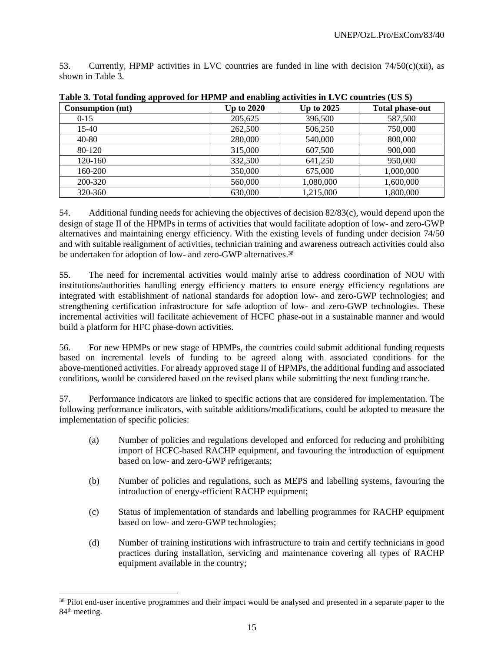53. Currently, HPMP activities in LVC countries are funded in line with decision  $74/50(c)(xii)$ , as shown in Table 3.

| <b>Consumption (mt)</b> | <b>Up to 2020</b> | Up to $2025$ | <b>Total phase-out</b> |
|-------------------------|-------------------|--------------|------------------------|
| $0-15$                  | 205,625           | 396,500      | 587,500                |
| 15-40                   | 262,500           | 506,250      | 750,000                |
| 40-80                   | 280,000           | 540,000      | 800,000                |
| 80-120                  | 315,000           | 607,500      | 900,000                |
| 120-160                 | 332,500           | 641,250      | 950,000                |
| 160-200                 | 350,000           | 675,000      | 1,000,000              |
| 200-320                 | 560,000           | 1,080,000    | 1,600,000              |
| 320-360                 | 630,000           | 1,215,000    | 1,800,000              |

**Table 3. Total funding approved for HPMP and enabling activities in LVC countries (US \$)**

54. Additional funding needs for achieving the objectives of decision 82/83(c), would depend upon the design of stage II of the HPMPs in terms of activities that would facilitate adoption of low- and zero-GWP alternatives and maintaining energy efficiency. With the existing levels of funding under decision 74/50 and with suitable realignment of activities, technician training and awareness outreach activities could also be undertaken for adoption of low- and zero-GWP alternatives.<sup>38</sup>

55. The need for incremental activities would mainly arise to address coordination of NOU with institutions/authorities handling energy efficiency matters to ensure energy efficiency regulations are integrated with establishment of national standards for adoption low- and zero-GWP technologies; and strengthening certification infrastructure for safe adoption of low- and zero-GWP technologies. These incremental activities will facilitate achievement of HCFC phase-out in a sustainable manner and would build a platform for HFC phase-down activities.

56. For new HPMPs or new stage of HPMPs, the countries could submit additional funding requests based on incremental levels of funding to be agreed along with associated conditions for the above-mentioned activities. For already approved stage II of HPMPs, the additional funding and associated conditions, would be considered based on the revised plans while submitting the next funding tranche.

57. Performance indicators are linked to specific actions that are considered for implementation. The following performance indicators, with suitable additions/modifications, could be adopted to measure the implementation of specific policies:

- (a) Number of policies and regulations developed and enforced for reducing and prohibiting import of HCFC-based RACHP equipment, and favouring the introduction of equipment based on low- and zero-GWP refrigerants;
- (b) Number of policies and regulations, such as MEPS and labelling systems, favouring the introduction of energy-efficient RACHP equipment;
- (c) Status of implementation of standards and labelling programmes for RACHP equipment based on low- and zero-GWP technologies;
- (d) Number of training institutions with infrastructure to train and certify technicians in good practices during installation, servicing and maintenance covering all types of RACHP equipment available in the country;

<sup>&</sup>lt;sup>38</sup> Pilot end-user incentive programmes and their impact would be analysed and presented in a separate paper to the 84<sup>th</sup> meeting.